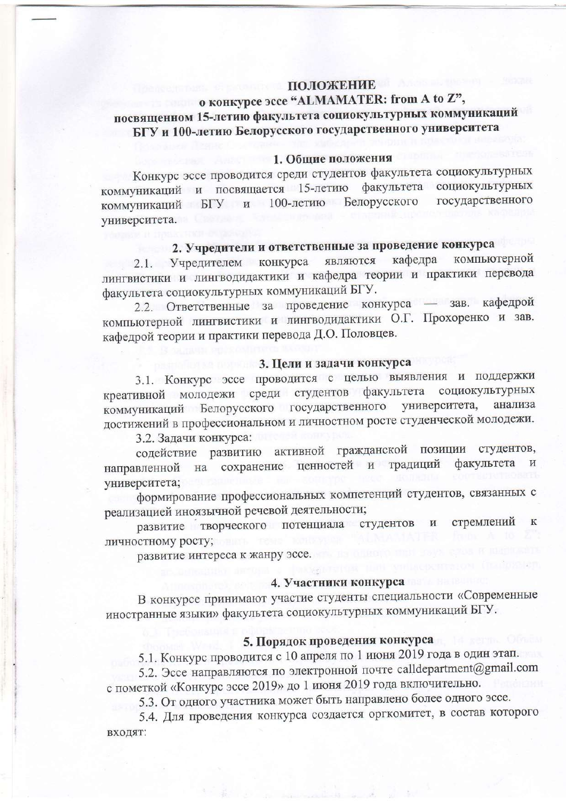### ПОЛОЖЕНИЕ о конкурсе эссе "ALMAMATER: from A to Z", посвященном 15-летию факультета социокультурных коммуникаций БГУ и 100-летию Белорусского государственного университета

#### 1. Общие положения

Конкурс эссе проводится среди студентов факультета социокультурных коммуникаций и посвящается 15-летию факультета социокультурных коммуникаций БГУ и 100-летию Белорусского государственного университета.

# 2. Учредители и ответственные за проведение конкурса

компьютерной являются кафедра 2.1. Учредителем конкурса лингвистики и лингводидактики и кафедра теории и практики перевода факультета социокультурных коммуникаций БГУ.

2.2. Ответственные за проведение конкурса - зав. кафедрой компьютерной лингвистики и лингводидактики О.Г. Прохоренко и зав. кафедрой теории и практики перевода Д.О. Половцев.

#### 3. Цели и задачи конкурса

3.1. Конкурс эссе проводится с целью выявления и поддержки креативной молодежи среди студентов факультета социокультурных коммуникаций Белорусского государственного университета, анализа достижений в профессиональном и личностном росте студенческой молодежи.

3.2. Задачи конкурса:

содействие развитию активной гражданской позиции студентов, направленной на сохранение ценностей и традиций факультета университета;

формирование профессиональных компетенций студентов, связанных с реализацией иноязычной речевой деятельности;

развитие творческого потенциала студентов стремлений  $\overline{\mathbf{K}}$ личностному росту;

развитие интереса к жанру эссе.

#### 4. Участники конкурса

В конкурсе принимают участие студенты специальности «Современные иностранные языки» факультета социокультурных коммуникаций БГУ.

## 5. Порядок проведения конкурса

5.1. Конкурс проводится с 10 апреля по 1 июня 2019 года в один этап.

5.2. Эссе направляются по электронной почте calldepartment@gmail.com с пометкой «Конкурс эссе 2019» до 1 июня 2019 года включительно.

5.3. От одного участника может быть направлено более одного эссе.

5.4. Для проведения конкурса создается оргкомитет, в состав которого входят: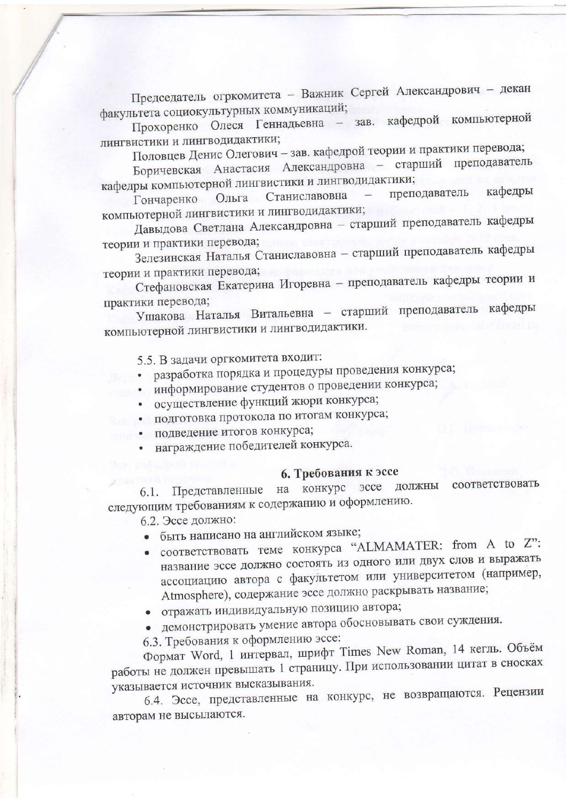Председатель огркомитета - Важник Сергей Александрович - декан факультета социокультурных коммуникаций;

Прохоренко Олеся Геннадьевна - зав. кафедрой компьютерной лингвистики и лингводидактики;

Половцев Денис Олегович - зав. кафедрой теории и практики перевода;

Боричевская Анастасия Александровна - старший преподаватель кафедры компьютерной лингвистики и лингводидактики;

преподаватель кафедры Станиславовна Ольга Гончаренко компьютерной лингвистики и лингводидактики;

Давыдова Светлана Александровна - старший преподаватель кафедры теории и практики перевода;

Зелезинская Наталья Станиславовна - старший преподаватель кафедры теории и практики перевода;

Стефановская Екатерина Игоревна - преподаватель кафедры теории и практики перевода;

Ушакова Наталья Витальевна - старший преподаватель кафедры компьютерной лингвистики и лингводидактики.

5.5. В задачи оргкомитета входит:

- разработка порядка и процедуры проведения конкурса;
- информирование студентов о проведении конкурса;
- осуществление функций жюри конкурса;
- подготовка протокола по итогам конкурса;
- подведение итогов конкурса;
- награждение победителей конкурса.

#### 6. Требования к эссе

Представленные на конкурс эссе должны соответствовать  $6.1.$ следующим требованиям к содержанию и оформлению.

6.2. Эссе должно:

- быть написано на английском языке;
- соответствовать теме конкурса "ALMAMATER: from A to Z": название эссе должно состоять из одного или двух слов и выражать ассоциацию автора с факультетом или университетом (например, Atmosphere), содержание эссе должно раскрывать название;
- отражать индивидуальную позицию автора;
- демонстрировать умение автора обосновывать свои суждения.

6.3. Требования к оформлению эссе:

Формат Word, 1 интервал, шрифт Times New Roman, 14 кегль. Объём работы не должен превышать 1 страницу. При использовании цитат в сносках указывается источник высказывания.

6.4. Эссе, представленные на конкурс, не возвращаются. Рецензии авторам не высылаются.